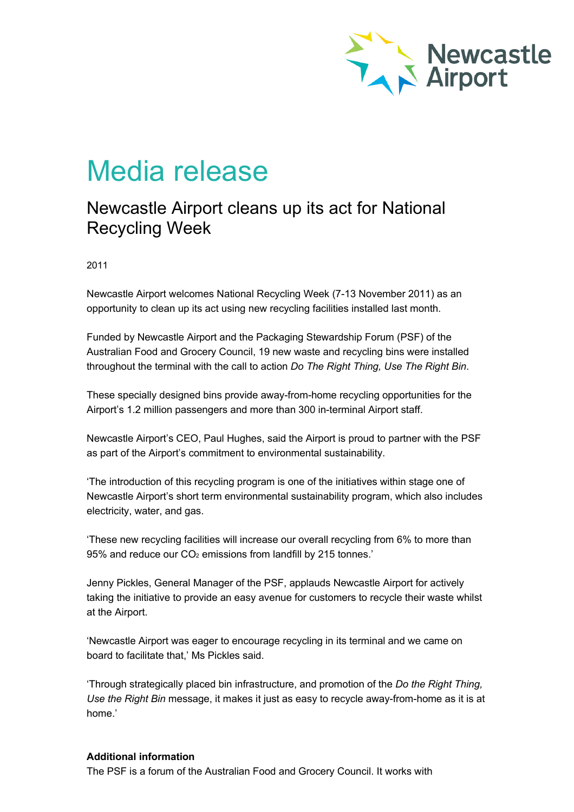

## Media release

## Newcastle Airport cleans up its act for National Recycling Week

2011

Newcastle Airport welcomes National Recycling Week (7-13 November 2011) as an opportunity to clean up its act using new recycling facilities installed last month.

Funded by Newcastle Airport and the Packaging Stewardship Forum (PSF) of the Australian Food and Grocery Council, 19 new waste and recycling bins were installed throughout the terminal with the call to action *Do The Right Thing, Use The Right Bin*.

These specially designed bins provide away-from-home recycling opportunities for the Airport's 1.2 million passengers and more than 300 in-terminal Airport staff.

Newcastle Airport's CEO, Paul Hughes, said the Airport is proud to partner with the PSF as part of the Airport's commitment to environmental sustainability.

'The introduction of this recycling program is one of the initiatives within stage one of Newcastle Airport's short term environmental sustainability program, which also includes electricity, water, and gas.

'These new recycling facilities will increase our overall recycling from 6% to more than 95% and reduce our CO<sub>2</sub> emissions from landfill by 215 tonnes.'

Jenny Pickles, General Manager of the PSF, applauds Newcastle Airport for actively taking the initiative to provide an easy avenue for customers to recycle their waste whilst at the Airport.

'Newcastle Airport was eager to encourage recycling in its terminal and we came on board to facilitate that,' Ms Pickles said.

'Through strategically placed bin infrastructure, and promotion of the *Do the Right Thing, Use the Right Bin* message, it makes it just as easy to recycle away-from-home as it is at home.'

## **Additional information**

The PSF is a forum of the Australian Food and Grocery Council. It works with